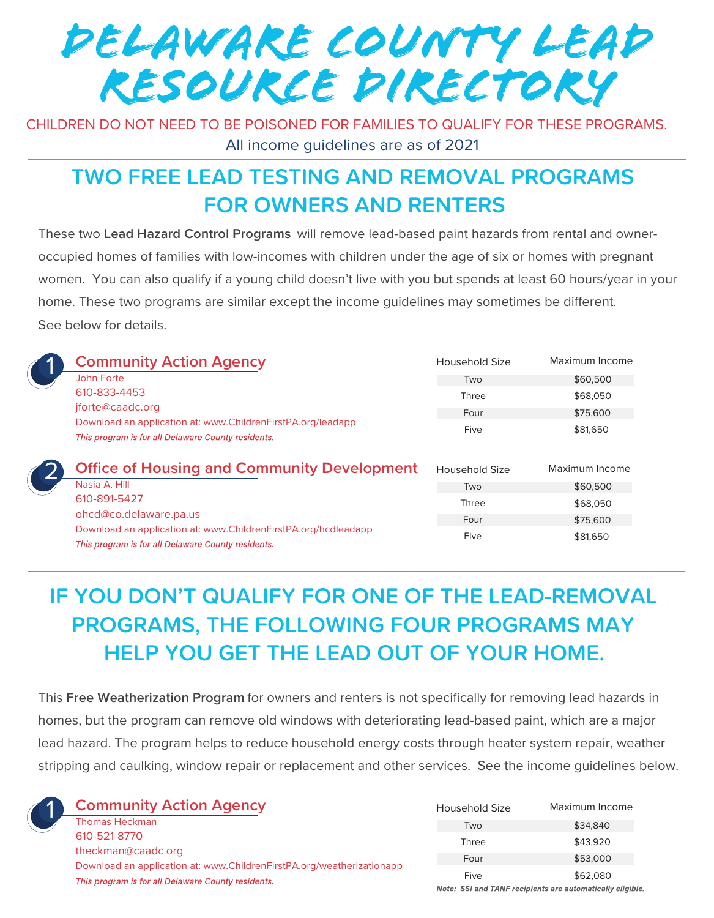DELAWARE COUNTY LEAD RESOURCE DIRECTORY

CHILDREN DO NOT NEED TO BE POISONED FOR FAMILIES TO QUALIFY FOR THESE PROGRAMS. All income guidelines are as of 2021

### **TWO FREE LEAD TESTING AND REMOVAL PROGRAMS FOR OWNERS AND RENTERS**

These two **Lead Hazard Control Programs** will remove lead-based paint hazards from rental and owneroccupied homes of families with low-incomes with children under the age of six or homes with pregnant women. You can also qualify if a young child doesn't live with you but spends at least 60 hours/year in your home. These two programs are similar except the income guidelines may sometimes be different. See below for details.

|  | <b>Community Action Agency</b>                                                                                                                        | Household Size | Maximum Income |
|--|-------------------------------------------------------------------------------------------------------------------------------------------------------|----------------|----------------|
|  | John Forte                                                                                                                                            | Two            | \$60,500       |
|  | 610-833-4453<br>jforte@caadc.org<br>Download an application at: www.ChildrenFirstPA.org/leadapp<br>This program is for all Delaware County residents. | Three          | \$68,050       |
|  |                                                                                                                                                       | Four           | \$75,600       |
|  |                                                                                                                                                       | Five           | \$81,650       |
|  |                                                                                                                                                       |                |                |
|  | <b>Office of Housing and Community Development</b>                                                                                                    | Household Size | Maximum Income |
|  | Nasia A. Hill                                                                                                                                         | Two            | \$60,500       |
|  | 610-891-5427                                                                                                                                          | Three          | \$68,050       |
|  | ohcd@co.delaware.pa.us<br>Download an application at: www.ChildrenFirstPA.org/hcdleadapp                                                              | Four           | \$75,600       |

## **IF YOU DON'T QUALIFY FOR ONE OF THE LEAD-REMOVAL PROGRAMS, THE FOLLOWING FOUR PROGRAMS MAY HELP YOU GET THE LEAD OUT OF YOUR HOME.**

This **Free Weatherization Program** for owners and renters is not specifically for removing lead hazards in homes, but the program can remove old windows with deteriorating lead-based paint, which are a major lead hazard. The program helps to reduce household energy costs through heater system repair, weather stripping and caulking, window repair or replacement and other services. See the income guidelines below.



**Community Action Agency**

Thomas Heckman 610-521-8770 theckman@caadc.org Download an application at: www.ChildrenFirstPA.org/weatherizationapp This program is for all Delaware County residents.

| Household Size | Maximum Income                                           |
|----------------|----------------------------------------------------------|
| Two            | \$34,840                                                 |
| Three          | \$43.920                                                 |
| Four           | \$53,000                                                 |
| Five           | \$62,080                                                 |
|                | Note: SSLand TANE recipients are automatically eligible. |